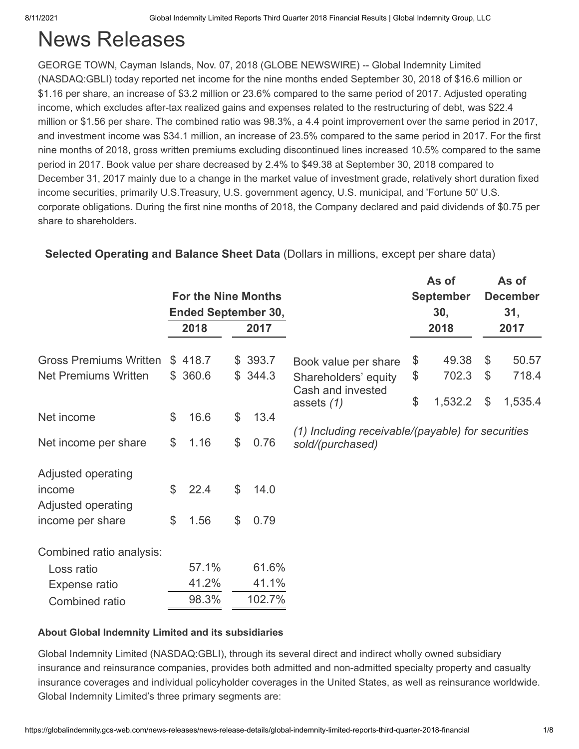# News Releases

GEORGE TOWN, Cayman Islands, Nov. 07, 2018 (GLOBE NEWSWIRE) -- Global Indemnity Limited (NASDAQ:GBLI) today reported net income for the nine months ended September 30, 2018 of \$16.6 million or \$1.16 per share, an increase of \$3.2 million or 23.6% compared to the same period of 2017. Adjusted operating income, which excludes after-tax realized gains and expenses related to the restructuring of debt, was \$22.4 million or \$1.56 per share. The combined ratio was 98.3%, a 4.4 point improvement over the same period in 2017, and investment income was \$34.1 million, an increase of 23.5% compared to the same period in 2017. For the first nine months of 2018, gross written premiums excluding discontinued lines increased 10.5% compared to the same period in 2017. Book value per share decreased by 2.4% to \$49.38 at September 30, 2018 compared to December 31, 2017 mainly due to a change in the market value of investment grade, relatively short duration fixed income securities, primarily U.S.Treasury, U.S. government agency, U.S. municipal, and 'Fortune 50' U.S. corporate obligations. During the first nine months of 2018, the Company declared and paid dividends of \$0.75 per share to shareholders.

|            |                    |        |                                                                                |                                           | As of   |                       | As of<br><b>December</b>                          |
|------------|--------------------|--------|--------------------------------------------------------------------------------|-------------------------------------------|---------|-----------------------|---------------------------------------------------|
|            |                    |        |                                                                                |                                           | 30,     |                       | 31,                                               |
| 2018       |                    | 2017   |                                                                                |                                           | 2018    |                       | 2017                                              |
|            |                    |        |                                                                                | \$                                        | 49.38   | \$                    | 50.57                                             |
|            |                    |        | Shareholders' equity                                                           | \$                                        | 702.3   | $\boldsymbol{\theta}$ | 718.4                                             |
|            |                    |        | assets $(1)$                                                                   | \$                                        | 1,532.2 | $\mathfrak{L}$        | 1,535.4                                           |
| \$<br>16.6 | \$                 | 13.4   |                                                                                |                                           |         |                       |                                                   |
| \$<br>1.16 | \$                 | 0.76   | sold/(purchased)                                                               |                                           |         |                       |                                                   |
|            |                    |        |                                                                                |                                           |         |                       |                                                   |
| \$<br>22.4 | $\mathcal{L}$      | 14.0   |                                                                                |                                           |         |                       |                                                   |
|            |                    |        |                                                                                |                                           |         |                       |                                                   |
| \$<br>1.56 | \$                 | 0.79   |                                                                                |                                           |         |                       |                                                   |
|            |                    |        |                                                                                |                                           |         |                       |                                                   |
| 57.1%      |                    | 61.6%  |                                                                                |                                           |         |                       |                                                   |
| 41.2%      |                    | 41.1%  |                                                                                |                                           |         |                       |                                                   |
| 98.3%      |                    | 102.7% |                                                                                |                                           |         |                       |                                                   |
|            | \$418.7<br>\$360.6 |        | <b>For the Nine Months</b><br><b>Ended September 30,</b><br>\$393.7<br>\$344.3 | Book value per share<br>Cash and invested |         | <b>September</b>      | (1) Including receivable/(payable) for securities |

### **Selected Operating and Balance Sheet Data** (Dollars in millions, except per share data)

### **About Global Indemnity Limited and its subsidiaries**

Global Indemnity Limited (NASDAQ:GBLI), through its several direct and indirect wholly owned subsidiary insurance and reinsurance companies, provides both admitted and non-admitted specialty property and casualty insurance coverages and individual policyholder coverages in the United States, as well as reinsurance worldwide. Global Indemnity Limited's three primary segments are: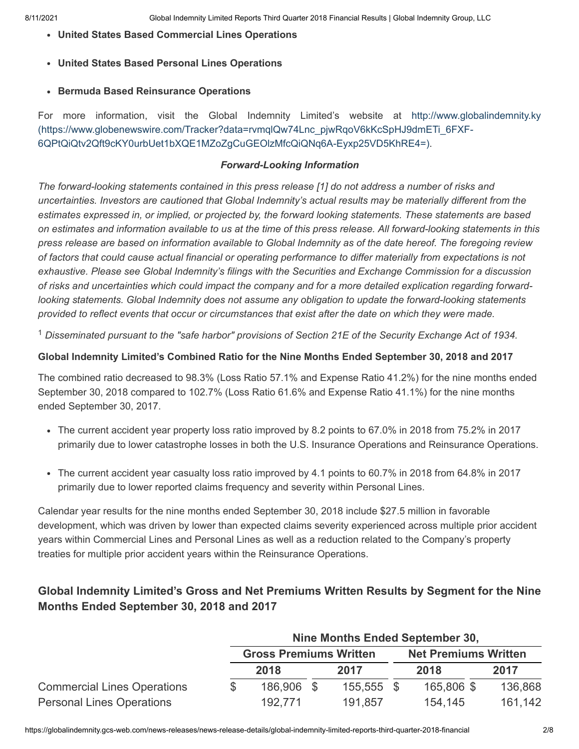- **United States Based Commercial Lines Operations**
- **United States Based Personal Lines Operations**
- **Bermuda Based Reinsurance Operations**

For more information, visit the Global Indemnity Limited's website at http://www.globalindemnity.ky [\(https://www.globenewswire.com/Tracker?data=rvmqlQw74Lnc\\_pjwRqoV6kKcSpHJ9dmETi\\_6FXF-](https://www.globenewswire.com/Tracker?data=rvmqlQw74Lnc_pjwRqoV6kKcSpHJ9dmETi_6FXF-6QPtQiQtv2Qft9cKY0urbUet1bXQE1MZoZgCuGEOlzMfcQiQNq6A-Eyxp25VD5KhRE4=)6QPtQiQtv2Qft9cKY0urbUet1bXQE1MZoZgCuGEOlzMfcQiQNq6A-Eyxp25VD5KhRE4=).

#### *Forward-Looking Information*

*The forward-looking statements contained in this press release [1] do not address a number of risks and uncertainties. Investors are cautioned that Global Indemnity's actual results may be materially different from the estimates expressed in, or implied, or projected by, the forward looking statements. These statements are based on estimates and information available to us at the time of this press release. All forward-looking statements in this press release are based on information available to Global Indemnity as of the date hereof. The foregoing review of factors that could cause actual financial or operating performance to differ materially from expectations is not exhaustive. Please see Global Indemnity's filings with the Securities and Exchange Commission for a discussion of risks and uncertainties which could impact the company and for a more detailed explication regarding forwardlooking statements. Global Indemnity does not assume any obligation to update the forward-looking statements provided to reflect events that occur or circumstances that exist after the date on which they were made.*

<sup>1</sup> Disseminated pursuant to the "safe harbor" provisions of Section 21E of the Security Exchange Act of 1934.

#### **Global Indemnity Limited's Combined Ratio for the Nine Months Ended September 30, 2018 and 2017**

The combined ratio decreased to 98.3% (Loss Ratio 57.1% and Expense Ratio 41.2%) for the nine months ended September 30, 2018 compared to 102.7% (Loss Ratio 61.6% and Expense Ratio 41.1%) for the nine months ended September 30, 2017.

- The current accident year property loss ratio improved by 8.2 points to 67.0% in 2018 from 75.2% in 2017 primarily due to lower catastrophe losses in both the U.S. Insurance Operations and Reinsurance Operations.
- The current accident year casualty loss ratio improved by 4.1 points to 60.7% in 2018 from 64.8% in 2017 primarily due to lower reported claims frequency and severity within Personal Lines.

Calendar year results for the nine months ended September 30, 2018 include \$27.5 million in favorable development, which was driven by lower than expected claims severity experienced across multiple prior accident years within Commercial Lines and Personal Lines as well as a reduction related to the Company's property treaties for multiple prior accident years within the Reinsurance Operations.

### **Global Indemnity Limited's Gross and Net Premiums Written Results by Segment for the Nine Months Ended September 30, 2018 and 2017**

|                                    | Nine Months Ended September 30, |                               |  |            |  |                             |  |         |  |  |
|------------------------------------|---------------------------------|-------------------------------|--|------------|--|-----------------------------|--|---------|--|--|
|                                    |                                 | <b>Gross Premiums Written</b> |  |            |  | <b>Net Premiums Written</b> |  |         |  |  |
|                                    |                                 | 2018                          |  | 2017       |  | 2018                        |  | 2017    |  |  |
| <b>Commercial Lines Operations</b> |                                 | 186,906 \$                    |  | 155,555 \$ |  | 165,806 \$                  |  | 136,868 |  |  |
| <b>Personal Lines Operations</b>   |                                 | 192.771                       |  | 191,857    |  | 154,145                     |  | 161,142 |  |  |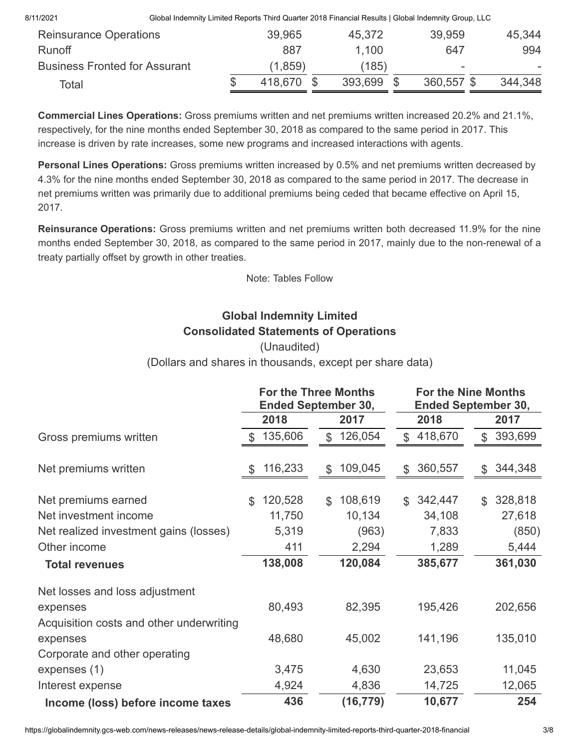| Total                                |                                                                                                     | 418.670  | 393.699 | 360,557 \$ | 344,348                  |
|--------------------------------------|-----------------------------------------------------------------------------------------------------|----------|---------|------------|--------------------------|
| <b>Business Fronted for Assurant</b> |                                                                                                     | (1, 859) | (185)   | -          | $\overline{\phantom{a}}$ |
| <b>Runoff</b>                        |                                                                                                     | 887      | 1.100   | 647        | 994                      |
| <b>Reinsurance Operations</b>        |                                                                                                     | 39,965   | 45,372  | 39,959     | 45,344                   |
| 8/11/2021                            | Global Indemnity Limited Reports Third Quarter 2018 Financial Results   Global Indemnity Group, LLC |          |         |            |                          |

**Commercial Lines Operations:** Gross premiums written and net premiums written increased 20.2% and 21.1%, respectively, for the nine months ended September 30, 2018 as compared to the same period in 2017. This increase is driven by rate increases, some new programs and increased interactions with agents.

**Personal Lines Operations:** Gross premiums written increased by 0.5% and net premiums written decreased by 4.3% for the nine months ended September 30, 2018 as compared to the same period in 2017. The decrease in net premiums written was primarily due to additional premiums being ceded that became effective on April 15, 2017.

**Reinsurance Operations:** Gross premiums written and net premiums written both decreased 11.9% for the nine months ended September 30, 2018, as compared to the same period in 2017, mainly due to the non-renewal of a treaty partially offset by growth in other treaties.

Note: Tables Follow

# **Global Indemnity Limited Consolidated Statements of Operations**

### (Unaudited)

(Dollars and shares in thousands, except per share data)

|                                          |                | <b>For the Three Months</b><br><b>Ended September 30,</b> | <b>For the Nine Months</b><br><b>Ended September 30,</b> |                           |
|------------------------------------------|----------------|-----------------------------------------------------------|----------------------------------------------------------|---------------------------|
|                                          | 2018           | 2017                                                      | 2018                                                     | 2017                      |
| Gross premiums written                   | \$135,606      | \$126,054                                                 | \$418,670                                                | \$393,699                 |
| Net premiums written                     | 116,233<br>S   | 109,045<br>\$                                             | 360,557<br>$\mathfrak{L}$                                | 344,348<br>$\mathfrak{L}$ |
| Net premiums earned                      | 120,528<br>\$. | 108,619<br>$\mathfrak{L}$                                 | 342,447<br>\$.                                           | 328,818<br>\$             |
| Net investment income                    | 11,750         | 10,134                                                    | 34,108                                                   | 27,618                    |
| Net realized investment gains (losses)   | 5,319          | (963)                                                     | 7,833                                                    | (850)                     |
| Other income                             | 411            | 2,294                                                     | 1,289                                                    | 5,444                     |
| <b>Total revenues</b>                    | 138,008        | 120,084                                                   | 385,677                                                  | 361,030                   |
| Net losses and loss adjustment           |                |                                                           |                                                          |                           |
| expenses                                 | 80,493         | 82,395                                                    | 195,426                                                  | 202,656                   |
| Acquisition costs and other underwriting |                |                                                           |                                                          |                           |
| expenses                                 | 48,680         | 45,002                                                    | 141,196                                                  | 135,010                   |
| Corporate and other operating            |                |                                                           |                                                          |                           |
| expenses (1)                             | 3,475          | 4,630                                                     | 23,653                                                   | 11,045                    |
| Interest expense                         | 4,924          | 4,836                                                     | 14,725                                                   | 12,065                    |
| Income (loss) before income taxes        | 436            | (16, 779)                                                 | 10,677                                                   | 254                       |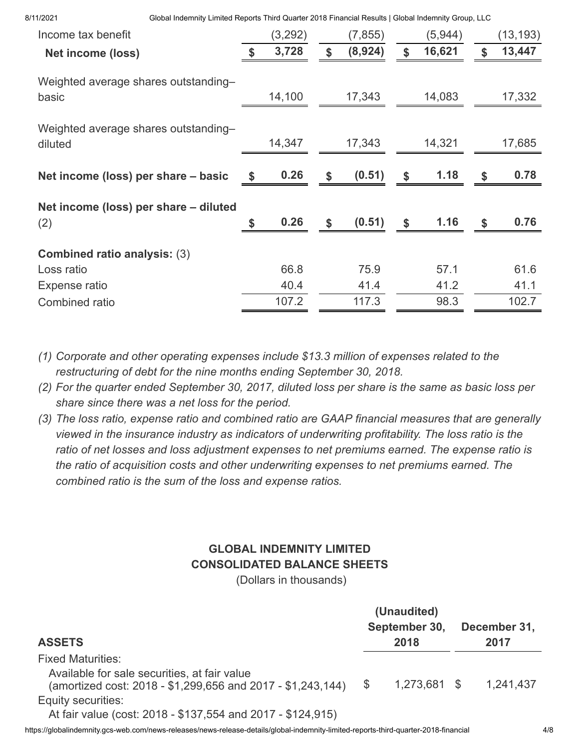| 8/11/2021 |  |
|-----------|--|

8/11/2021 Global Indemnity Limited Reports Third Quarter 2018 Financial Results | Global Indemnity Group, LLC

| Income tax benefit                              | (3,292)    |             | (7, 855) |                    | (5,944) |            | (13,193) |
|-------------------------------------------------|------------|-------------|----------|--------------------|---------|------------|----------|
| <b>Net income (loss)</b>                        | 3,728      |             | (8,924)  | $\mathbf{\hat{s}}$ | 16,621  | \$         | 13,447   |
| Weighted average shares outstanding-<br>basic   | 14,100     |             | 17,343   |                    | 14,083  |            | 17,332   |
| Weighted average shares outstanding-<br>diluted | 14,347     |             | 17,343   |                    | 14,321  |            | 17,685   |
| Net income (loss) per share – basic             | \$<br>0.26 | \$          | (0.51)   | \$                 | 1.18    | \$         | 0.78     |
| Net income (loss) per share - diluted<br>(2)    | \$<br>0.26 | $\mathbf s$ | (0.51)   | \$                 | 1.16    | $\sqrt{3}$ | 0.76     |
| <b>Combined ratio analysis: (3)</b>             |            |             |          |                    |         |            |          |
| Loss ratio                                      | 66.8       |             | 75.9     |                    | 57.1    |            | 61.6     |
| Expense ratio                                   | 40.4       |             | 41.4     |                    | 41.2    |            | 41.1     |
| Combined ratio                                  | 107.2      |             | 117.3    |                    | 98.3    |            | 102.7    |

*(1) Corporate and other operating expenses include \$13.3 million of expenses related to the restructuring of debt for the nine months ending September 30, 2018.*

- *(2) For the quarter ended September 30, 2017, diluted loss per share is the same as basic loss per share since there was a net loss for the period.*
- *(3) The loss ratio, expense ratio and combined ratio are GAAP financial measures that are generally viewed in the insurance industry as indicators of underwriting profitability. The loss ratio is the ratio of net losses and loss adjustment expenses to net premiums earned. The expense ratio is the ratio of acquisition costs and other underwriting expenses to net premiums earned. The combined ratio is the sum of the loss and expense ratios.*

# **GLOBAL INDEMNITY LIMITED CONSOLIDATED BALANCE SHEETS**

(Dollars in thousands)

|                                                             | (Unaudited)   |              |
|-------------------------------------------------------------|---------------|--------------|
|                                                             | September 30, | December 31, |
| <b>ASSETS</b>                                               | 2018          | 2017         |
| <b>Fixed Maturities:</b>                                    |               |              |
| Available for sale securities, at fair value                |               |              |
| (amortized cost: 2018 - \$1,299,656 and 2017 - \$1,243,144) | 1,273,681 \$  | 1,241,437    |
| Equity securities:                                          |               |              |
| At fair value (cost: 2018 - \$137,554 and 2017 - \$124,915) |               |              |

https://globalindemnity.gcs-web.com/news-releases/news-release-details/global-indemnity-limited-reports-third-quarter-2018-financial 4/8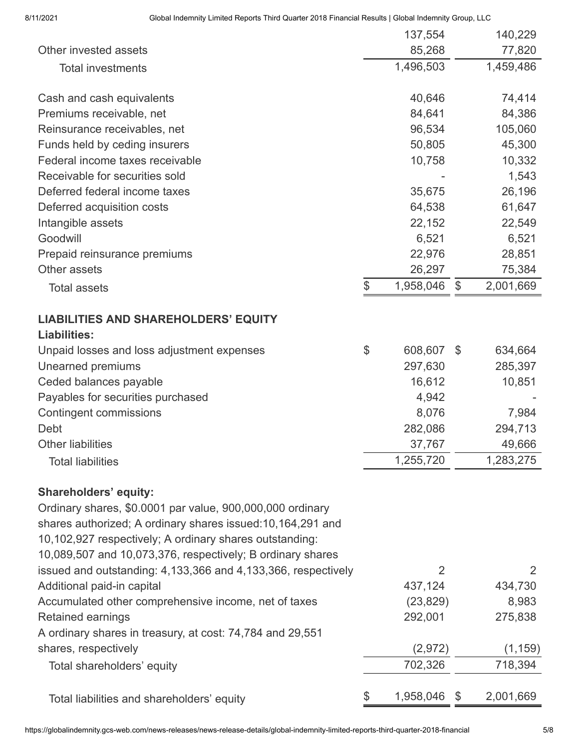|                                                                                                                                                                                                                                                                                                                                                   | 137,554         |       | 140,229   |
|---------------------------------------------------------------------------------------------------------------------------------------------------------------------------------------------------------------------------------------------------------------------------------------------------------------------------------------------------|-----------------|-------|-----------|
| Other invested assets                                                                                                                                                                                                                                                                                                                             | 85,268          |       | 77,820    |
| <b>Total investments</b>                                                                                                                                                                                                                                                                                                                          | 1,496,503       |       | 1,459,486 |
| Cash and cash equivalents                                                                                                                                                                                                                                                                                                                         | 40,646          |       | 74,414    |
| Premiums receivable, net                                                                                                                                                                                                                                                                                                                          | 84,641          |       | 84,386    |
| Reinsurance receivables, net                                                                                                                                                                                                                                                                                                                      | 96,534          |       | 105,060   |
| Funds held by ceding insurers                                                                                                                                                                                                                                                                                                                     | 50,805          |       | 45,300    |
| Federal income taxes receivable                                                                                                                                                                                                                                                                                                                   | 10,758          |       | 10,332    |
| Receivable for securities sold                                                                                                                                                                                                                                                                                                                    |                 |       | 1,543     |
| Deferred federal income taxes                                                                                                                                                                                                                                                                                                                     | 35,675          |       | 26,196    |
| Deferred acquisition costs                                                                                                                                                                                                                                                                                                                        | 64,538          |       | 61,647    |
| Intangible assets                                                                                                                                                                                                                                                                                                                                 | 22,152          |       | 22,549    |
| Goodwill                                                                                                                                                                                                                                                                                                                                          | 6,521           |       | 6,521     |
| Prepaid reinsurance premiums                                                                                                                                                                                                                                                                                                                      | 22,976          |       | 28,851    |
| Other assets                                                                                                                                                                                                                                                                                                                                      | 26,297          |       | 75,384    |
| <b>Total assets</b>                                                                                                                                                                                                                                                                                                                               | \$<br>1,958,046 | \$    | 2,001,669 |
| <b>LIABILITIES AND SHAREHOLDERS' EQUITY</b><br><b>Liabilities:</b>                                                                                                                                                                                                                                                                                |                 |       |           |
| Unpaid losses and loss adjustment expenses                                                                                                                                                                                                                                                                                                        | \$<br>608,607   | \$    | 634,664   |
| Unearned premiums                                                                                                                                                                                                                                                                                                                                 | 297,630         |       | 285,397   |
| Ceded balances payable                                                                                                                                                                                                                                                                                                                            | 16,612          |       | 10,851    |
| Payables for securities purchased                                                                                                                                                                                                                                                                                                                 | 4,942           |       |           |
| <b>Contingent commissions</b>                                                                                                                                                                                                                                                                                                                     | 8,076           |       | 7,984     |
| Debt                                                                                                                                                                                                                                                                                                                                              | 282,086         |       | 294,713   |
| <b>Other liabilities</b>                                                                                                                                                                                                                                                                                                                          | 37,767          |       | 49,666    |
| <b>Total liabilities</b>                                                                                                                                                                                                                                                                                                                          | 1,255,720       |       | 1,283,275 |
| <b>Shareholders' equity:</b><br>Ordinary shares, \$0.0001 par value, 900,000,000 ordinary<br>shares authorized; A ordinary shares issued:10,164,291 and<br>10,102,927 respectively; A ordinary shares outstanding:<br>10,089,507 and 10,073,376, respectively; B ordinary shares<br>issued and outstanding: 4,133,366 and 4,133,366, respectively | 2               |       | 2         |
| Additional paid-in capital                                                                                                                                                                                                                                                                                                                        | 437,124         |       | 434,730   |
| Accumulated other comprehensive income, net of taxes                                                                                                                                                                                                                                                                                              | (23, 829)       |       | 8,983     |
| Retained earnings                                                                                                                                                                                                                                                                                                                                 | 292,001         |       | 275,838   |
| A ordinary shares in treasury, at cost: 74,784 and 29,551                                                                                                                                                                                                                                                                                         |                 |       |           |
| shares, respectively                                                                                                                                                                                                                                                                                                                              | (2, 972)        |       | (1, 159)  |
| Total shareholders' equity                                                                                                                                                                                                                                                                                                                        | 702,326         |       | 718,394   |
| Total liabilities and shareholders' equity                                                                                                                                                                                                                                                                                                        | \$<br>1,958,046 | $\$\$ | 2,001,669 |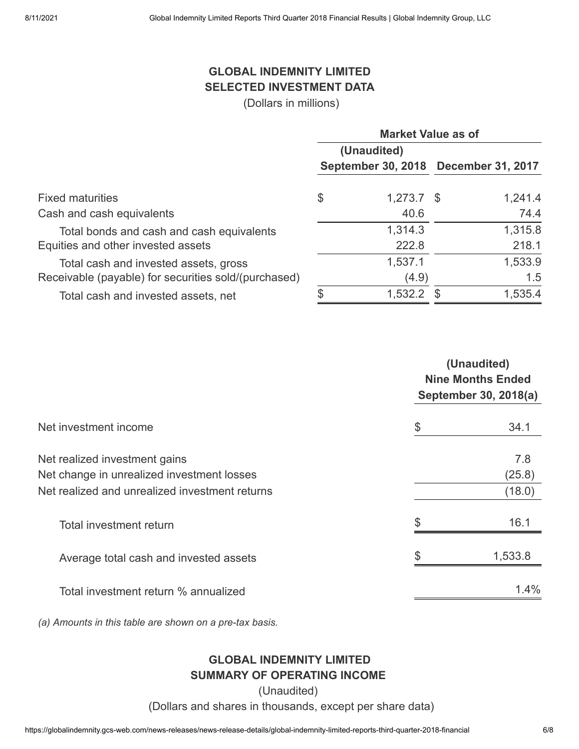## **GLOBAL INDEMNITY LIMITED SELECTED INVESTMENT DATA**

(Dollars in millions)

|                                                      | <b>Market Value as of</b> |              |                                      |         |  |  |
|------------------------------------------------------|---------------------------|--------------|--------------------------------------|---------|--|--|
|                                                      |                           | (Unaudited)  |                                      |         |  |  |
|                                                      |                           |              | September 30, 2018 December 31, 2017 |         |  |  |
| <b>Fixed maturities</b>                              | \$                        | $1,273.7$ \$ |                                      | 1,241.4 |  |  |
| Cash and cash equivalents                            |                           | 40.6         |                                      | 74.4    |  |  |
| Total bonds and cash and cash equivalents            |                           | 1,314.3      |                                      | 1,315.8 |  |  |
| Equities and other invested assets                   |                           | 222.8        |                                      | 218.1   |  |  |
| Total cash and invested assets, gross                |                           | 1,537.1      |                                      | 1,533.9 |  |  |
| Receivable (payable) for securities sold/(purchased) |                           | (4.9)        |                                      | 1.5     |  |  |
| Total cash and invested assets, net                  | \$                        | 1,532.2      |                                      | 1,535.4 |  |  |

| Net change in unrealized investment losses<br>Total investment return | (Unaudited)<br><b>Nine Months Ended</b><br>September 30, 2018(a) |  |  |  |  |
|-----------------------------------------------------------------------|------------------------------------------------------------------|--|--|--|--|
| Net investment income                                                 | \$<br>34.1                                                       |  |  |  |  |
| Net realized investment gains                                         | 7.8                                                              |  |  |  |  |
| Net realized and unrealized investment returns                        | (25.8)<br>(18.0)                                                 |  |  |  |  |
|                                                                       | \$<br>16.1                                                       |  |  |  |  |
| Average total cash and invested assets                                | \$<br>1,533.8                                                    |  |  |  |  |
| Total investment return % annualized                                  | 1.4%                                                             |  |  |  |  |

*(a) Amounts in this table are shown on a pre-tax basis.*

### **GLOBAL INDEMNITY LIMITED SUMMARY OF OPERATING INCOME**

(Unaudited)

(Dollars and shares in thousands, except per share data)